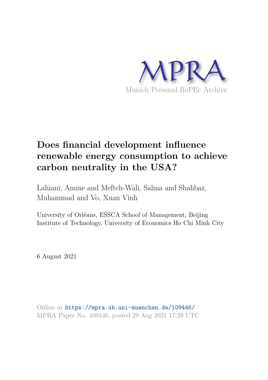

# **Does financial development influence renewable energy consumption to achieve carbon neutrality in the USA?**

Lahiani, Amine and Mefteh-Wali, Salma and Shahbaz, Muhammad and Vo, Xuan Vinh

University of Orléans, ESSCA School of Management, Beijing Institute of Technology, University of Economics Ho Chi Minh City

6 August 2021

Online at https://mpra.ub.uni-muenchen.de/109446/ MPRA Paper No. 109446, posted 29 Aug 2021 17:29 UTC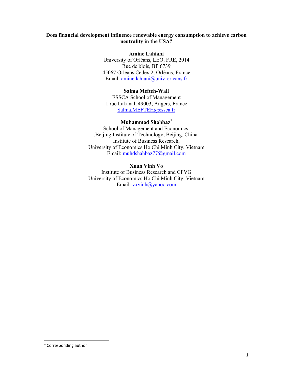# **Does financial development influence renewable energy consumption to achieve carbon neutrality in the USA?**

**Amine Lahiani**  University of Orléans, LEO, FRE, 2014 Rue de blois, BP 6739 45067 Orléans Cedex 2, Orléans, France Email: amine.lahiani@univ-orleans.fr

# **Salma Mefteh-Wali**

ESSCA School of Management 1 rue Lakanal, 49003, Angers, France Salma.MEFTEH@essca.fr

# **Muhammad Shahbaz<sup>1</sup>**

School of Management and Economics, .Beijing Institute of Technology, Beijing, China. Institute of Business Research, University of Economics Ho Chi Minh City, Vietnam Email: muhdshahbaz77@gmail.com

## **Xuan Vinh Vo**

Institute of Business Research and CFVG University of Economics Ho Chi Minh City, Vietnam Email: vxvinh@yahoo.com

<sup>&</sup>lt;sup>1</sup> Corresponding author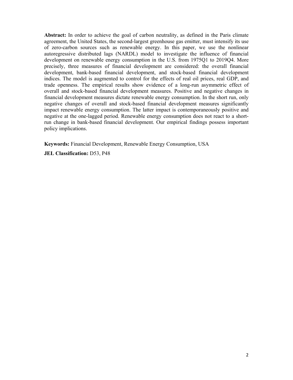**Abstract:** In order to achieve the goal of carbon neutrality, as defined in the Paris climate agreement, the United States, the second-largest greenhouse gas emitter, must intensify its use of zero-carbon sources such as renewable energy. In this paper, we use the nonlinear autoregressive distributed lags (NARDL) model to investigate the influence of financial development on renewable energy consumption in the U.S. from 1975Q1 to 2019Q4. More precisely, three measures of financial development are considered: the overall financial development, bank-based financial development, and stock-based financial development indices. The model is augmented to control for the effects of real oil prices, real GDP, and trade openness. The empirical results show evidence of a long-run asymmetric effect of overall and stock-based financial development measures. Positive and negative changes in financial development measures dictate renewable energy consumption. In the short run, only negative changes of overall and stock-based financial development measures significantly impact renewable energy consumption. The latter impact is contemporaneously positive and negative at the one-lagged period. Renewable energy consumption does not react to a shortrun change in bank-based financial development. Our empirical findings possess important policy implications.

**Keywords:** Financial Development, Renewable Energy Consumption, USA

**JEL Classification:** D53, P48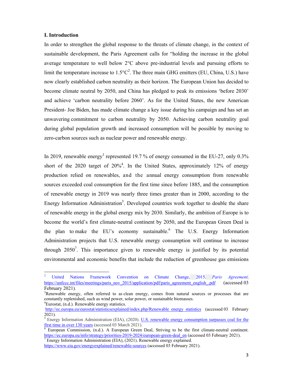#### **I. Introduction**

In order to strengthen the global response to the threats of climate change, in the context of sustainable development, the Paris Agreement calls for "holding the increase in the global average temperature to well below 2°C above pre‐industrial levels and pursuing efforts to limit the temperature increase to  $1.5^{\circ}C^2$ . The three main GHG emitters (EU, China, U.S.) have now clearly established carbon neutrality as their horizon. The European Union has decided to become climate neutral by 2050, and China has pledged to peak its emissions 'before 2030' and achieve 'carbon neutrality before 2060'. As for the United States, the new American President- Joe Biden, has made climate change a key issue during his campaign and has set an unwavering commitment to carbon neutrality by 2050. Achieving carbon neutrality goal during global population growth and increased consumption will be possible by moving to zero-carbon sources such as nuclear power and renewable energy.

In 2019, renewable energy<sup>3</sup> represented 19.7 % of energy consumed in the EU-27, only  $0.3\%$ short of the 2020 target of  $20\%$ <sup>4</sup>. In the United States, approximately 12% of energy production relied on renewables, and the annual energy consumption from renewable sources exceeded coal consumption for the first time since before 1885, and the consumption of renewable energy in 2019 was nearly three times greater than in 2000, according to the Energy Information Administration<sup>5</sup>. Developed countries work together to double the share of renewable energy in the global energy mix by 2030. Similarly, the ambition of Europe is to become the world's first climate-neutral continent by 2050, and the European Green Deal is the plan to make the EU's economy sustainable. The U.S. Energy Information Administration projects that U.S. renewable energy consumption will continue to increase through  $2050^7$ . This importance given to renewable energy is justified by its potential environmental and economic benefits that include the reduction of greenhouse gas emissions

<sup>7</sup> Energy Information Administration (EIA), (2021). Renewable energy explained.

<sup>2</sup> United Nations Framework Convention on Climate Change, 2015. *Paris Agreement*. https://unfccc.int/files/meetings/paris\_nov\_2015/application/pdf/paris\_agreement\_english\_.pdf (accessed 03) February 2021).

<sup>&</sup>lt;sup>3</sup>Renewable energy, often referred to as clean energy, comes from natural sources or processes that are constantly replenished, such as wind power, solar power, or sustainable biomasses. <sup>4</sup>Eurostat, (n.d.). Renewable energy statistics.

http://ec.europa.eu/eurostat/statisticsexplained/index.php/Renewable\_energy\_statistics (accessed 03 February 2021)*.*

<sup>&</sup>lt;sup>5</sup> Energy Information Administration (EIA), (2020). U.S. renewable energy consumption surpasses coal for the first time in over 130 years (accessed 03 March 2021).

 $\overline{6}$  European Commission, (n.d.). A European Green Deal, Striving to be the first climate-neutral continent. https://ec.europa.eu/info/strategy/priorities-2019-2024/european-green-deal\_en (accessed 03 February 2021).

https://www.eia.gov/energyexplained/renewable-sources (accessed 03 February 2021).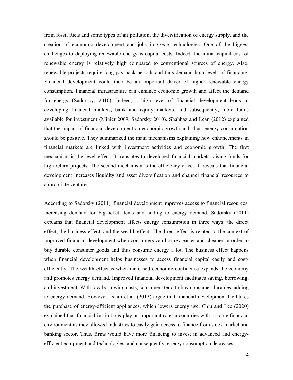from fossil fuels and some types of air pollution, the diversification of energy supply, and the creation of economic development and jobs in *green* technologies. One of the biggest challenges to deploying renewable energy is capital costs. Indeed, the initial capital cost of renewable energy is relatively high compared to conventional sources of energy. Also, renewable projects require long pay-back periods and thus demand high levels of financing. Financial development could then be an important driver of higher renewable energy consumption. Financial infrastructure can enhance economic growth and affect the demand for energy (Sadorsky, 2010). Indeed, a high level of financial development leads to developing financial markets, bank and equity markets, and subsequently, more funds available for investment (Minier 2009, Sadorsky 2010). Shahbaz and Lean (2012) explained that the impact of financial development on economic growth and, thus, energy consumption should be positive. They summarized the main mechanisms explaining how enhancements in financial markets are linked with investment activities and economic growth. The first mechanism is the level effect. It translates to developed financial markets raising funds for high-return projects. The second mechanism is the efficiency effect. It reveals that financial development increases liquidity and asset diversification and channel financial resources to appropriate ventures.

According to Sadorsky (2011), financial development improves access to financial resources, increasing demand for big-ticket items and adding to energy demand. Sadorsky (2011) explains that financial development affects energy consumption in three ways: the direct effect, the business effect, and the wealth effect. The direct effect is related to the context of improved financial development when consumers can borrow easier and cheaper in order to buy durable consumer goods and thus consume energy a lot. The business effect happens when financial development helps businesses to access financial capital easily and costefficiently. The wealth effect is when increased economic confidence expands the economy and promotes energy demand. Improved financial development facilitates saving, borrowing, and investment. With low borrowing costs, consumers tend to buy consumer durables, adding to energy demand. However, Islam et al. (2013) argue that financial development facilitates the purchase of energy-efficient appliances, which lowers energy use. Chiu and Lee (2020) explained that financial institutions play an important role in countries with a stable financial environment as they allowed industries to easily gain access to finance from stock market and banking sector. Thus, firms would have more financing to invest in advanced and energyefficient equipment and technologies, and consequently, energy consumption decreases.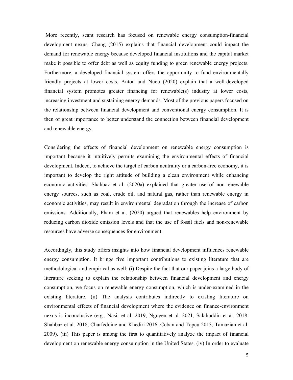More recently, scant research has focused on renewable energy consumption-financial development nexus. Chang (2015) explains that financial development could impact the demand for renewable energy because developed financial institutions and the capital market make it possible to offer debt as well as equity funding to green renewable energy projects. Furthermore, a developed financial system offers the opportunity to fund environmentally friendly projects at lower costs. Anton and Nucu (2020) explain that a well-developed financial system promotes greater financing for renewable(s) industry at lower costs, increasing investment and sustaining energy demands. Most of the previous papers focused on the relationship between financial development and conventional energy consumption. It is then of great importance to better understand the connection between financial development and renewable energy.

Considering the effects of financial development on renewable energy consumption is important because it intuitively permits examining the environmental effects of financial development. Indeed, to achieve the target of carbon neutrality or a carbon-free economy, it is important to develop the right attitude of building a clean environment while enhancing economic activities. Shahbaz et al. (2020a) explained that greater use of non-renewable energy sources, such as coal, crude oil, and natural gas, rather than renewable energy in economic activities, may result in environmental degradation through the increase of carbon emissions. Additionally, Pham et al. (2020) argued that renewables help environment by reducing carbon dioxide emission levels and that the use of fossil fuels and non-renewable resources have adverse consequences for environment.

Accordingly, this study offers insights into how financial development influences renewable energy consumption. It brings five important contributions to existing literature that are methodological and empirical as well: (i) Despite the fact that our paper joins a large body of literature seeking to explain the relationship between financial development and energy consumption, we focus on renewable energy consumption, which is under-examined in the existing literature. (ii) The analysis contributes indirectly to existing literature on environmental effects of financial development where the evidence on finance-environment nexus is inconclusive (e.g., Nasir et al. 2019, Nguyen et al. 2021, Salahuddin et al. 2018, Shahbaz et al. 2018, Charfeddine and Khediri 2016, Çoban and Topcu 2013, Tamazian et al. 2009). (iii) This paper is among the first to quantitatively analyze the impact of financial development on renewable energy consumption in the United States. (iv) In order to evaluate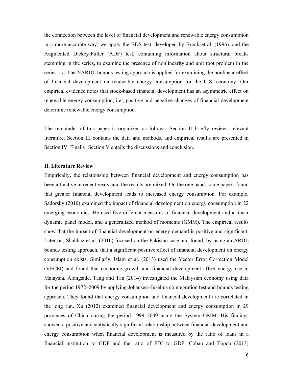the connection between the level of financial development and renewable energy consumption in a more accurate way, we apply the BDS test, developed by Brock et al. (1996), and the Augmented Dickey-Fuller (ADF) test, containing information about structural breaks stemming in the series, to examine the presence of nonlinearity and unit root problem in the series. (v) The NARDL bounds testing approach is applied for examining the nonlinear effect of financial development on renewable energy consumption for the U.S. economy. Our empirical evidence notes that stock-based financial development has an asymmetric effect on renewable energy consumption, i.e., positive and negative changes of financial development determine renewable energy consumption.

The remainder of this paper is organized as follows: Section II briefly reviews relevant literature. Section III contains the data and methods, and empirical results are presented in Section IV. Finally, Section V entails the discussions and conclusion.

## **II. Literature Review**

Empirically, the relationship between financial development and energy consumption has been attractive in recent years, and the results are mixed. On the one hand, some papers found that greater financial development leads to increased energy consumption. For example, Sadorsky (2010) examined the impact of financial development on energy consumption in 22 emerging economies. He used five different measures of financial development and a linear dynamic panel model, and a generalized method of moments (GMM). The empirical results show that the impact of financial development on energy demand is positive and significant. Later on, Shahbaz et al. (2010) focused on the Pakistan case and found, by using an ARDL bounds testing approach, that a significant positive effect of financial development on energy consumption exists. Similarly, Islam et al. (2013) used the Vector Error Correction Model (VECM) and found that economic growth and financial development affect energy use in Malaysia. Alongside, Tang and Tan (2014) investigated the Malaysian economy using data for the period 1972–2009 by applying Johansen–Juselius cointegration test and bounds testing approach. They found that energy consumption and financial development are correlated in the long run. Xu (2012) examined financial development and energy consumption in 29 provinces of China during the period 1999–2009 using the System GMM. His findings showed a positive and statistically significant relationship between financial development and energy consumption when financial development is measured by the ratio of loans in a financial institution to GDP and the ratio of FDI to GDP. Çoban and Topcu (2013)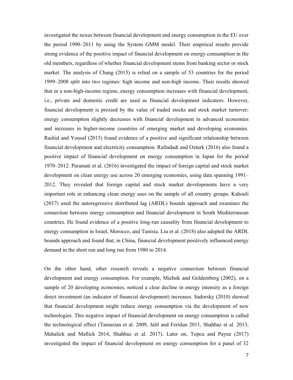investigated the nexus between financial development and energy consumption in the EU over the period 1990–2011 by using the System GMM model. Their empirical results provide strong evidence of the positive impact of financial development on energy consumption in the old members, regardless of whether financial development stems from banking sector or stock market. The analysis of Chang (2015) is relied on a sample of 53 countries for the period 1999–2008 split into two regimes: high income and non-high income. Their results showed that in a non-high-income regime, energy consumption increases with financial development, i.e., private and domestic credit are used as financial development indicators. However, financial development is proxied by the value of traded stocks and stock market turnover; energy consumption slightly decreases with financial development in advanced economies and increases in higher-income countries of emerging market and developing economies. Rashid and Yousaf (2015) found evidence of a positive and significant relationship between financial development and electricity consumption. Rafindadi and Ozturk (2016) also found a positive impact of financial development on energy consumption in Japan for the period 1970–2012. Paramati et al. (2016) investigated the impact of foreign capital and stock market development on clean energy use across 20 emerging economies, using data spanning 1991– 2012. They revealed that foreign capital and stock market developments have a very important role in enhancing clean energy uses on the sample of all country groups. Kahouli (2017) used the autoregressive distributed lag (ARDL) bounds approach and examines the connection between energy consumption and financial development in South Mediterranean countries. He found evidence of a positive long-run causality from financial development to energy consumption in Israel, Morocco, and Tunisia. Liu et al. (2018) also adopted the ARDL bounds approach and found that, in China, financial development positively influenced energy demand in the short run and long run from 1980 to 2014.

On the other hand, other research reveals a negative connection between financial development and energy consumption. For example, Mielnik and Goldemberg (2002), on a sample of 20 developing economies, noticed a clear decline in energy intensity as a foreign direct investment (an indicator of financial development) increases. Sadorsky (2010) showed that financial development might reduce energy consumption via the development of new technologies. This negative impact of financial development on energy consumption is called the technological effect (Tamazian et al. 2009, Jalil and Feridun 2011, Shahbaz et al. 2013, Mahalick and Mallick 2014, Shahbaz et al. 2017). Later on, Topcu and Payne (2017) investigated the impact of financial development on energy consumption for a panel of 32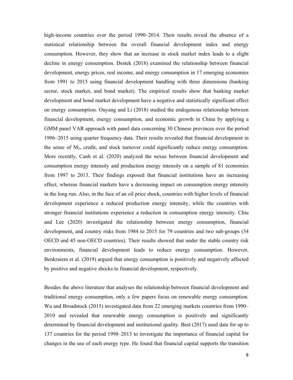high-income countries over the period 1990–2014. Their results reveal the absence of a statistical relationship between the overall financial development index and energy consumption. However, they show that an increase in stock market index leads to a slight decline in energy consumption. Destek (2018) examined the relationship between financial development, energy prices, real income, and energy consumption in 17 emerging economies from 1991 to 2015 using financial development handling with three dimensions (banking sector, stock market, and bond market). The empirical results show that banking market development and bond market development have a negative and statistically significant effect on energy consumption. Ouyang and Li (2018) studied the endogenous relationship between financial development, energy consumption, and economic growth in China by applying a GMM panel VAR approach with panel data concerning 30 Chinese provinces over the period 1996–2015 using quarter frequency data. Their results revealed that financial development in the sense of  $M<sub>2</sub>$ , credit, and stock turnover could significantly reduce energy consumption. More recently, Canh et al. (2020) analyzed the nexus between financial development and consumption energy intensity and production energy intensity on a sample of 81 economies from 1997 to 2013. Their findings exposed that financial institutions have an increasing effect, whereas financial markets have a decreasing impact on consumption energy intensity in the long run. Also, in the face of an oil price shock, countries with higher levels of financial development experience a reduced production energy intensity, while the countries with stronger financial institutions experience a reduction in consumption energy intensity. Chiu and Lee (2020) investigated the relationship between energy consumption, financial development, and country risks from 1984 to 2015 for 79 countries and two sub-groups (34 OECD and 45 non-OECD countries). Their results showed that under the stable country risk environments, financial development leads to reduce energy consumption. However, Benkraiem et al. (2019) argued that energy consumption is positively and negatively affected by positive and negative shocks to financial development, respectively.

Besides the above literature that analyses the relationship between financial development and traditional energy consumption, only a few papers focus on renewable energy consumption. Wu and Broadstock (2015) investigated data from 22 emerging markets countries from 1990– 2010 and revealed that renewable energy consumption is positively and significantly determined by financial development and institutional quality. Best (2017) used data for up to 137 countries for the period 1998–2013 to investigate the importance of financial capital for changes in the use of each energy type. He found that financial capital supports the transition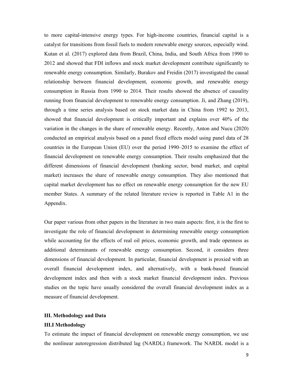to more capital-intensive energy types. For high-income countries, financial capital is a catalyst for transitions from fossil fuels to modern renewable energy sources, especially wind. Kutan et al. (2017) explored data from Brazil, China, India, and South Africa from 1990 to 2012 and showed that FDI inflows and stock market development contribute significantly to renewable energy consumption. Similarly, Burakov and Freidin (2017) investigated the causal relationship between financial development, economic growth, and renewable energy consumption in Russia from 1990 to 2014. Their results showed the absence of causality running from financial development to renewable energy consumption. Ji, and Zhang (2019), through a time series analysis based on stock market data in China from 1992 to 2013, showed that financial development is critically important and explains over 40% of the variation in the changes in the share of renewable energy. Recently, Anton and Nucu (2020) conducted an empirical analysis based on a panel fixed effects model using panel data of 28 countries in the European Union (EU) over the period 1990–2015 to examine the effect of financial development on renewable energy consumption. Their results emphasized that the different dimensions of financial development (banking sector, bond market, and capital market) increases the share of renewable energy consumption. They also mentioned that capital market development has no effect on renewable energy consumption for the new EU member States. A summary of the related literature review is reported in Table A1 in the Appendix.

Our paper various from other papers in the literature in two main aspects: first, it is the first to investigate the role of financial development in determining renewable energy consumption while accounting for the effects of real oil prices, economic growth, and trade openness as additional determinants of renewable energy consumption. Second, it considers three dimensions of financial development. In particular, financial development is proxied with an overall financial development index, and alternatively, with a bank-based financial development index and then with a stock market financial development index. Previous studies on the topic have usually considered the overall financial development index as a measure of financial development.

### **III. Methodology and Data**

#### **III.I Methodology**

To estimate the impact of financial development on renewable energy consumption, we use the nonlinear autoregression distributed lag (NARDL) framework. The NARDL model is a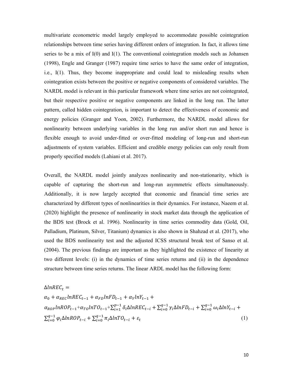multivariate econometric model largely employed to accommodate possible cointegration relationships between time series having different orders of integration. In fact, it allows time series to be a mix of  $I(0)$  and  $I(1)$ . The conventional cointegration models such as Johansen (1998), Engle and Granger (1987) require time series to have the same order of integration, i.e., I(1). Thus, they become inappropriate and could lead to misleading results when cointegration exists between the positive or negative components of considered variables. The NARDL model is relevant in this particular framework where time series are not cointegrated, but their respective positive or negative components are linked in the long run. The latter pattern, called hidden cointegration, is important to detect the effectiveness of economic and energy policies (Granger and Yoon, 2002). Furthermore, the NARDL model allows for nonlinearity between underlying variables in the long run and/or short run and hence is flexible enough to avoid under-fitted or over-fitted modeling of long-run and short-run adjustments of system variables. Efficient and credible energy policies can only result from properly specified models (Lahiani et al. 2017).

Overall, the NARDL model jointly analyzes nonlinearity and non-stationarity, which is capable of capturing the short-run and long-run asymmetric effects simultaneously. Additionally, it is now largely accepted that economic and financial time series are characterized by different types of nonlinearities in their dynamics. For instance, Naeem et al. (2020) highlight the presence of nonlinearity in stock market data through the application of the BDS test (Brock et al. 1996). Nonlinearity in time series commodity data (Gold, Oil, Palladium, Platinum, Silver, Titanium) dynamics is also shown in Shahzad et al. (2017), who used the BDS nonlinearity test and the adjusted ICSS structural break test of Sanso et al. (2004). The previous findings are important as they highlighted the existence of linearity at two different levels: (i) in the dynamics of time series returns and (ii) in the dependence structure between time series returns. The linear ARDL model has the following form:

$$
\Delta lnREC_{t} =
$$
\n
$$
\alpha_{0} + \alpha_{REC}lnREC_{t-1} + \alpha_{FD}lnFD_{t-1} + \alpha_{Y}lnY_{t-1} +
$$
\n
$$
\alpha_{ROP}lnROP_{t-1} + \alpha_{TO}lnTO_{t-1} + \sum_{i=1}^{p-1} \delta_{i}\Delta lnREC_{t-i} + \sum_{i=0}^{q-1} \gamma_{i}\Delta lnFD_{t-i} + \sum_{i=0}^{q-1} \omega_{i}\Delta lnY_{t-i} +
$$
\n
$$
\sum_{i=0}^{q-1} \varphi_{i}\Delta lnROP_{t-i} + \sum_{i=0}^{q-1} \pi_{i}\Delta lnTO_{t-i} + \varepsilon_{t}
$$
\n(1)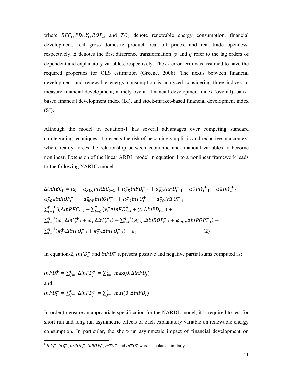where  $REC_t, FD_t, Y_t, ROP_t$ , and  $TO_t$  denote renewable energy consumption, financial development, real gross domestic product, real oil prices, and real trade openness, respectively.  $\Delta$  denotes the first difference transformation, p and q refer to the lag orders of dependent and explanatory variables, respectively. The  $\varepsilon_t$  error term was assumed to have the required properties for OLS estimation (Greene, 2008). The nexus between financial development and renewable energy consumption is analyzed considering three indices to measure financial development, namely overall financial development index (overall), bankbased financial development index (BI), and stock-market-based financial development index (SI).

Although the model in equation-1 has several advantages over competing standard cointegrating techniques, it presents the risk of becoming simplistic and reductive in a context where reality forces the relationship between economic and financial variables to become nonlinear. Extension of the linear ARDL model in equation 1 to a nonlinear framework leads to the following NARDL model:

$$
\Delta l n R E C_t = \alpha_0 + \alpha_{REC} l n R E C_{t-1} + \alpha_{FD}^+ l n F D_{t-1}^+ + \alpha_{FD}^- l n F D_{t-1}^- + \alpha_T^+ l n Y_{t-1}^+ + \alpha_{FD}^- l n R O P_{t-1}^+ + \alpha_{ROP}^- l n R O P_{t-1}^- + \alpha_{TO}^+ l n T O_{t-1}^+ + \alpha_{TO}^- l n T O_{t-1}^- +
$$
\n
$$
\sum_{i=1}^{p-1} \delta_i \Delta l n R E C_{t-i} + \sum_{i=0}^{q-1} (\gamma_i^+ \Delta l n F D_{t-i}^+ + \gamma_i^- \Delta l n F D_{t-i}^-) +
$$
\n
$$
\sum_{i=0}^{q-1} (\omega_Y^+ \Delta l n Y_{t-i}^+ + \omega_Y^- \Delta l n Y_{t-i}^-) + \sum_{i=0}^{q-1} (\varphi_{ROP}^+ \Delta l n R O P_{t-i}^+ + \varphi_{ROP}^- \Delta l n R O P_{t-i}^-) +
$$
\n
$$
\sum_{i=0}^{q-1} (\pi_{TO}^+ \Delta l n T O_{t-i}^+ + \pi_{TO}^- \Delta l n T O_{t-i}^-) + \varepsilon_t
$$
\n(2)

In equation-2,  $lnFD_t^+$  and  $lnFD_t^-$  represent positive and negative partial sums computed as:

$$
lnFD_t^+ = \sum_{j=1}^t \Delta lnFD_j^+ = \sum_{j=1}^t \max(0, \Delta lnFD_j)
$$
  
and  

$$
lnFD_t^- = \sum_{j=1}^t \Delta lnFD_j^- = \sum_{j=1}^t \min(0, \Delta lnFD_j)^8
$$

In order to ensure an appropriate specification for the NARDL model, it is required to test for short-run and long-run asymmetric effects of each explanatory variable on renewable energy consumption. In particular, the short-run asymmetric impact of financial development on

 $8 \ln Y_t^+$ ,  $\ln Y_t^-$ ,  $\ln ROP_t^+$ ,  $\ln ROP_t^-$ ,  $\ln TOP_t^+$  and  $\ln TOP_t^-$  were calculated similarly.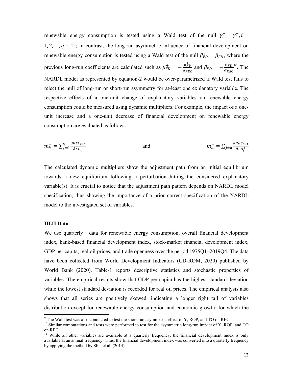renewable energy consumption is tested using a Wald test of the null  $\gamma_i^+ = \gamma_i^-$ ,  $i =$ 1, 2, ...,  $q - 1$ <sup>9</sup>; in contrast, the long-run asymmetric influence of financial development on renewable energy consumption is tested using a Wald test of the null  $\beta_{FD}^+ = \beta_{FD}^-$ , where the previous long-run coefficients are calculated such as  $\beta_{FD}^{+} = -\frac{\alpha_{FD}^{+}}{\alpha_{BE}}$  $\frac{\alpha_{FD}^{+}}{\alpha_{REC}}$  and  $\beta_{FD}^{-} = -\frac{\alpha_{FD}^{-}}{\alpha_{REC}}$  $\alpha_{REC}$  $10$ . The NARDL model as represented by equation-2 would be over-parametrized if Wald test fails to reject the null of long-run or short-run asymmetry for at-least one explanatory variable. The respective effects of a one-unit change of explanatory variables on renewable energy consumption could be measured using dynamic multipliers. For example, the impact of a oneunit increase and a one-unit decrease of financial development on renewable energy consumption are evaluated as follows:

$$
m_h^+ = \sum_{j=0}^h \frac{\partial \text{REC}_{t+1}}{\partial \text{FD}_t^+}
$$
 and 
$$
m_h^+ = \sum_{j=0}^h \frac{\partial \text{REC}_{t+1}}{\partial \text{FD}_t^+}
$$

The calculated dynamic multipliers show the adjustment path from an initial equilibrium towards a new equilibrium following a perturbation hitting the considered explanatory variable(s). It is crucial to notice that the adjustment path pattern depends on NARDL model specification, thus showing the importance of a prior correct specification of the NARDL model to the investigated set of variables.

#### **III.II Data**

We use quarterly<sup>11</sup> data for renewable energy consumption, overall financial development index, bank-based financial development index, stock-market financial development index, GDP per capita, real oil prices, and trade openness over the period 1975Q1–2019Q4. The data have been collected from World Development Indicators (CD-ROM, 2020) published by World Bank (2020). Table-1 reports descriptive statistics and stochastic properties of variables. The empirical results show that GDP per capita has the highest standard deviation while the lowest standard deviation is recorded for real oil prices. The empirical analysis also shows that all series are positively skewed, indicating a longer right tail of variables distribution except for renewable energy consumption and economic growth, for which the

<sup>&</sup>lt;sup>9</sup> The Wald test was also conducted to test the short-run asymmetric effect of Y, ROP, and TO on REC.

<sup>&</sup>lt;sup>10</sup> Similar computations and tests were performed to test for the asymmetric long-run impact of Y, ROP, and TO on REC.

<sup>&</sup>lt;sup>11</sup> While all other variables are available at a quarterly frequency, the financial development index is only available at an annual frequency. Thus, the financial development index was converted into a quarterly frequency by applying the method by Sbia et al. (2014).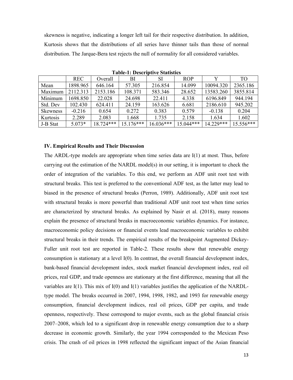skewness is negative, indicating a longer left tail for their respective distribution. In addition, Kurtosis shows that the distributions of all series have thinner tails than those of normal distribution. The Jarque-Bera test rejects the null of normality for all considered variables.

|                 | <b>REC</b> | Overall     | BI          | <b>SI</b>   | <b>ROP</b>  |           | TO <sub>1</sub> |
|-----------------|------------|-------------|-------------|-------------|-------------|-----------|-----------------|
| Mean            | 1898.965   | 646.164     | 57.305      | 216.854     | 14.099      | 10094.320 | 2365.186        |
| Maximum         | 2112.313   | 2153.186    | 108.371     | 583.346     | 28.652      | 13583.260 | 3855.814        |
| Minimum         | 1698.850   | 22.028      | 24.698      | 22.411      | 4.338       | 6196.849  | 944.194         |
| Std. Dev        | 102.430    | 624.411     | 24.159      | 163.626     | 6.681       | 2186.610  | 945.202         |
| <b>Skewness</b> | $-0.216$   | 0.654       | 0.272       | 0.383       | 0.579       | $-0.138$  | 0.204           |
| Kurtosis        | 2.289      | 2.083       | 1.668       | 1.735       | 2.158       | 1.634     | 1.602           |
| J-B Stat        | $5.073*$   | $18.724***$ | $15.176***$ | $16.036***$ | $15.044***$ | 14.229*** | $15.556***$     |

**Table-1: Descriptive Statistics** 

#### **IV. Empirical Results and Their Discussion**

The ARDL-type models are appropriate when time series data are  $I(1)$  at most. Thus, before carrying out the estimation of the NARDL model(s) in our setting, it is important to check the order of integration of the variables. To this end, we perform an ADF unit root test with structural breaks. This test is preferred to the conventional ADF test, as the latter may lead to biased in the presence of structural breaks (Perron, 1989). Additionally, ADF unit root test with structural breaks is more powerful than traditional ADF unit root test when time series are characterized by structural breaks. As explained by Nasir et al. (2018), many reasons explain the presence of structural breaks in macroeconomic variables dynamics. For instance, macroeconomic policy decisions or financial events lead macroeconomic variables to exhibit structural breaks in their trends. The empirical results of the breakpoint Augmented Dickey-Fuller unit root test are reported in Table-2. These results show that renewable energy consumption is stationary at a level I(0). In contrast, the overall financial development index, bank-based financial development index, stock market financial development index, real oil prices, real GDP, and trade openness are stationary at the first difference, meaning that all the variables are  $I(1)$ . This mix of  $I(0)$  and  $I(1)$  variables justifies the application of the NARDLtype model. The breaks occurred in 2007, 1994, 1998, 1982, and 1993 for renewable energy consumption, financial development indices, real oil prices, GDP per capita, and trade openness, respectively. These correspond to major events, such as the global financial crisis 2007–2008, which led to a significant drop in renewable energy consumption due to a sharp decrease in economic growth. Similarly, the year 1994 corresponded to the Mexican Peso crisis. The crash of oil prices in 1998 reflected the significant impact of the Asian financial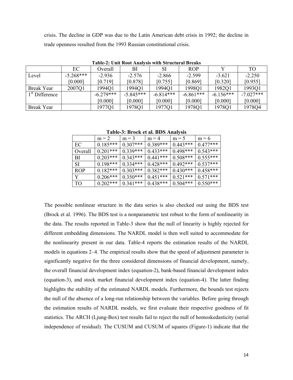crisis. The decline in GDP was due to the Latin American debt crisis in 1992; the decline in trade openness resulted from the 1993 Russian constitutional crisis.

|                           | TANIV 21 VIIIV INVOLTIIRITYIN MIGH MU AVALAH DI VAINT |             |             |             |             |             |             |  |  |
|---------------------------|-------------------------------------------------------|-------------|-------------|-------------|-------------|-------------|-------------|--|--|
|                           | EC                                                    | Overall     | BI          | SI          | <b>ROP</b>  |             | TO          |  |  |
| Level                     | $-5.268***$                                           | $-2.936$    | $-2.576$    | $-2.866$    | $-2.599$    | $-3.621$    | $-2.250$    |  |  |
|                           | [0.000]                                               | [0.719]     | [0.878]     | [0.755]     | [0.869]     | [0.320]     | [0.955]     |  |  |
| Break Year                | 2007Q1                                                | 1994Q1      | 1994Q1      | 1994O1      | 1998Q1      | 1982Q1      | 1993Q1      |  |  |
| <sup>1st</sup> Difference |                                                       | $-6.279***$ | $-5.845***$ | $-6.814***$ | $-6.861***$ | $-6.156***$ | $-7.027***$ |  |  |
|                           |                                                       | [0.000]     | [0.000]     | [0.000]     | [0.000]     | [0.000]     | [0.000]     |  |  |
| Break Year                |                                                       | 1977Q1      | 1978Q1      | 1977Q1      | 1978Q1      | 1978Q1      | 1978Q4      |  |  |

**Table-2: Unit Root Analysis with Structural Breaks** 

**Table-3: Brock et al. BDS Analysis** 

|                 | $m = 2$    | $m = 3$    | $m = 4$    | $m = 5$    | $m = 6$    |
|-----------------|------------|------------|------------|------------|------------|
| EC              | $0.185***$ | $0.307***$ | $0.389***$ | $0.443***$ | $0.477***$ |
| Overall         | $0.201***$ | $0.339***$ | $0.433***$ | $0.498***$ | $0.543***$ |
| BI              | $0.203***$ | $0.343***$ | $0.441***$ | $0.508***$ | $0.555***$ |
| <b>SI</b>       | $0.198***$ | $0.334***$ | $0.428***$ | $0.492***$ | $0.537***$ |
| <b>ROP</b>      | $0.182***$ | $0.303***$ | $0.382***$ | $0.430***$ | $0.458***$ |
| Y               | $0.206***$ | $0.350***$ | $0.451***$ | $0.521***$ | $0.571***$ |
| TO <sub>1</sub> | $0.202***$ | $0.341***$ | $0.438***$ | $0.504***$ | $0.550***$ |

The possible nonlinear structure in the data series is also checked out using the BDS test (Brock et al. 1996). The BDS test is a nonparametric test robust to the form of nonlinearity in the data. The results reported in Table-3 show that the null of linearity is highly rejected for different embedding dimensions. The NARDL model is then well suited to accommodate for the nonlinearity present in our data. Table-4 reports the estimation results of the NARDL models in equations 2–4. The empirical results show that the speed of adjustment parameter is significantly negative for the three considered dimensions of financial development, namely, the overall financial development index (equation-2), bank-based financial development index (equation-3), and stock market financial development index (equation-4). The latter finding highlights the stability of the estimated NARDL models. Furthermore, the bounds test rejects the null of the absence of a long-run relationship between the variables. Before going through the estimation results of NARDL models, we first evaluate their respective goodness of fit statistics. The ARCH (Ljung-Box) test results fail to reject the null of homoskedasticity (serial independence of residual). The CUSUM and CUSUM of squares (Figure-1) indicate that the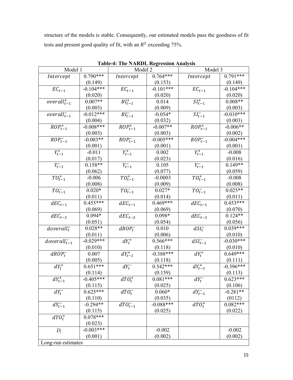structure of the models is stable. Consequently, our estimated models pass the goodness of fit tests and present good quality of fit, with an  $R^2$  exceeding 75%.

| Model 1            |             | Model 2               |             | Model 3                  |             |
|--------------------|-------------|-----------------------|-------------|--------------------------|-------------|
| Intercept          | $0.790***$  | Intercept             | $0.764***$  | Intercept                | $0.791***$  |
|                    | (0.149)     |                       | (0.153)     |                          | (0.149)     |
| $EC_{t-1}$         | $-0.104***$ | $EC_{t-1}$            | $-0.101***$ | $EC_{t-1}$               | $-0.104***$ |
|                    | (0.020)     |                       | (0.020)     |                          | (0.020)     |
| $overall_{t-1}^+$  | $0.007**$   | $BI_{t-1}^+$          | 0.014       | $SI_{t-1}$               | $0.008**$   |
|                    | (0.003)     |                       | (0.009)     |                          | (0.003)     |
| $overall_{t-1}^-$  | $-0.012***$ | $BI_{t-1}^-$          | $-0.054*$   | $SI_{t-1}^-$             | $-0.010***$ |
|                    | (0.004)     |                       | (0.032)     |                          | (0.003)     |
| $ROP_{t-1}^+$      | $-0.008***$ | $ROP_{t-1}^+$         | $-0.007**$  | $\overline{ROP_{t-1}^+}$ | $-0.006**$  |
|                    | (0.003)     |                       | (0.003)     |                          | (0.002)     |
| $ROPt-1$           | $-0.003**$  | $ROPt-1$              | $-0.005***$ | $ROPt-1$                 | $-0.004***$ |
|                    | (0.001)     |                       | (0.001)     |                          | (0.001)     |
| $Y_{t-1}^+$        | $-0.011$    | $Y_{t-1}^+$           | 0.002       | $Y_{t-1}^+$              | $-0.008$    |
|                    | (0.017)     |                       | (0.023)     |                          | (0.016)     |
| $Y_{t-1}^{-}$      | $0.158**$   | $Y_{t-1}^{-}$         | 0.105       | $Y_{t-1}^{-}$            | $0.149**$   |
|                    | (0.062)     |                       | (0.077)     |                          | (0.059)     |
| $TO_{t-1}^+$       | $-0.006$    | $TO_{t-1}^+$          | $-0.0003$   | $TO_{t-1}^+$             | $-0.008$    |
|                    | (0.008)     |                       | (0.009)     |                          | (0.008)     |
| $TO_{t-1}^-$       | $0.020*$    | $TO_{t-1}^-$          | $0.027*$    | $TO_{t-1}^-$             | $0.025**$   |
|                    | (0.011)     |                       | (0.014)     |                          | (0.011)     |
| $dEC_{t-1}$        | $0.455***$  | $dE\mathcal{C}_{t-1}$ | $0.469***$  | $dEC_{t-1}$              | $0.453***$  |
|                    | (0.069)     |                       | (0.069)     |                          | (0.070)     |
| $dEC_{t-2}$        | $0.094*$    | $dEC_{t-2}$           | $0.098*$    | $dEC_{t-2}$              | $0.124**$   |
|                    | (0.051)     |                       | (0.054)     |                          | (0.056)     |
| $doverall_t^-$     | $0.028**$   | $dROP_t^-$            | 0.010       | $dSI_t^-$                | $0.039***$  |
|                    | (0.011)     |                       | (0.006)     |                          | (0.010)     |
| $doverall_{t-1}^-$ | $-0.029***$ | $dY_t^+$              | $0.566***$  | $dSI_{t-1}^-$            | $-0.030***$ |
|                    | (0.010)     |                       | (0.118)     |                          | (0.010)     |
| $dROP_t^-$         | 0.007       | $dY_{t-1}^+$          | $-0.388***$ | $dY_t^+$                 | $0.649***$  |
|                    | (0.005)     |                       | (0.118)     |                          | (0.111)     |
| $dY_t^+$           | $0.651***$  | $dY_t^-$              | $0.542***$  | $dY_{t-1}^+$             | $-0.396***$ |
|                    | (0.114)     |                       | (0.159)     |                          | (0.113)     |
| $dY_{t-1}^+$       | $-0.405***$ | $dTO_t^+$             | $0.081***$  | $dY_t^-$                 | $0.623***$  |
|                    | (0.115)     |                       | (0.025)     |                          | (0.106)     |
| $dY_t^-$           | $0.625***$  | dTO <sub>t</sub>      | $0.060*$    | $dY_{t-1}^-$             | $-0.281**$  |
|                    | (0.110)     |                       | (0.035)     |                          | (0112)      |
| $dY_{t-1}^-$       | $-0.294**$  | $dTO^{-}_{t-1}$       | $-0.088***$ | $dTO_t^+$                | $0.082***$  |
|                    | (0.115)     |                       | (0.025)     |                          | (0.022)     |
| $dTO_t^+$          | $0.078***$  |                       |             |                          |             |
|                    | (0.023)     |                       |             |                          |             |
| $D_{t}$            | $-0.003***$ |                       | $-0.002$    |                          | $-0.002$    |
|                    | (0.001)     |                       | (0.002)     |                          | (0.002)     |
| Long-run estimates |             |                       |             |                          |             |

**Table-4: The NARDL Regression Analysis**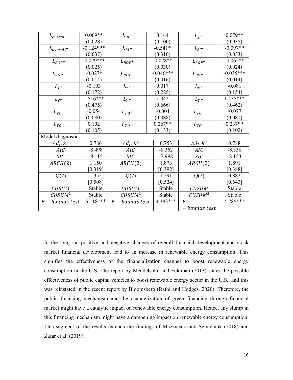| $L_{overall}$ +    | $0.069**$   | $L_{BI}$ +         | 0.144       | $L_{SI}$ +         | $0.079**$   |
|--------------------|-------------|--------------------|-------------|--------------------|-------------|
|                    | (0.028)     |                    | (0.100)     |                    | (0.035)     |
| $L_{overall}$      | $-0.124***$ | $L_{BI^-}$         | $-0.541*$   | $L_{SI}$           | $-0.097**$  |
|                    | (0.037)     |                    | (0.310)     |                    | (0.033)     |
| $L_{ROP^+}$        | $-0.079***$ | $L_{ROP^+}$        | $-0.078**$  | $L_{ROP^+}$        | $-0.062**$  |
|                    | (0.025)     |                    | (0.030)     |                    | (0.024)     |
| $L_{ROP}$          | $-0.027*$   | $L_{ROP}$          | $-0.046***$ | $L_{ROP}$          | $-0.035***$ |
|                    | (0.014)     |                    | (0.016)     |                    | (0.014)     |
| $L_{Y^+}$          | $-0.103$    | $L_{Y}+$           | 0.017       | $L_{Y}+$           | $-0.081$    |
|                    | (0.172)     |                    | (0.225)     |                    | (0.154)     |
| $L_{Y^-}$          | $1.516***$  | $L_{Y^-}$          | 1.042       | $L_{Y^-}$          | 1.435***    |
|                    | (0.475)     |                    | (0.666)     |                    | (0.462)     |
| $L_{TO^+}$         | $-0.054$    | $L_{TO^+}$         | $-0.004$    | $L_{TO^+}$         | $-0.077$    |
|                    | (0.080)     |                    | (0.088)     |                    | (0.081)     |
| $L_{TO^-}$         | 0.192       | $L_{TO^-}$         | $0.267**$   | $L_{TO^-}$         | $0.237**$   |
|                    | (0.105)     |                    | (0.133)     |                    | (0.102)     |
| Model diagnostics  |             |                    |             |                    |             |
| $Adj. R^2$         | 0.786       | $Adj. R^2$         | 0.753       | $Adj. R^2$         | 0.788       |
| <b>AIC</b>         | $-8.498$    | <b>AIC</b>         | $-8.362$    | <b>AIC</b>         | $-8.538$    |
| <b>SIC</b>         | $-8.115$    | <b>SIC</b>         | $-7.998$    | <b>SIC</b>         | $-8.153$    |
| ARCH(2)            | 1.150       | ARCH(2)            | 1.873       | ARCH(2)            | 1.891       |
|                    | $[0.319]$   |                    | $[0.392]$   |                    | [0.388]     |
| Q(2)               | 1.355       | Q(2)               | 1.291       | Q(2)               | 0.882       |
|                    | [0.508]     |                    | [0.524]     |                    | [0.643]     |
| <b>CUSUM</b>       | Stable      | <b>CUSUM</b>       | Stable      | <b>CUSUM</b>       | Stable      |
| CUSUM <sup>2</sup> | Stable      | CUSUM <sup>2</sup> | Stable      | CUSUM <sup>2</sup> | Stable      |
| $F - bounds$ test  | 5.118***    | $F -$ bounds test  | 4.383***    | $\boldsymbol{F}$   | 4.785***    |
|                    |             |                    |             | – bounds test      |             |

In the long-run positive and negative changes of overall financial development and stock market financial development lead to an increase in renewable energy consumption. This signifies the effectiveness of the financialization channel to boost renewable energy consumption in the U.S. The report by Mendelsohn and Feldman (2013) states the possible effectiveness of public capital vehicles to boost renewable energy sector in the U.S., and this was reinstated in the recent report by Bloomsberg (Rathi and Hodges, 2020). Therefore, the public financing mechanism and the channelization of green financing through financial market might have a catalytic impact on renewable energy consumption. Hence, any slump in this financing mechanism might have a dampening impact on renewable energy consumption. This segment of the results extends the findings of Mazzucato and Semieniuk (2018) and Zafar et al. (2019).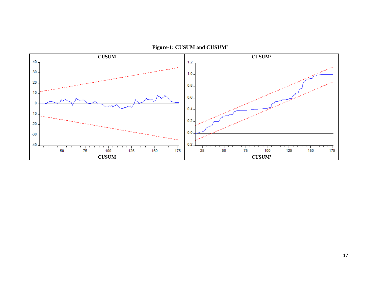

**Figure-1: CUSUM and CUSUM²**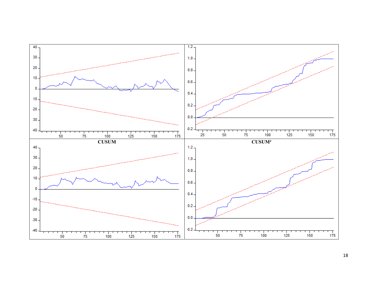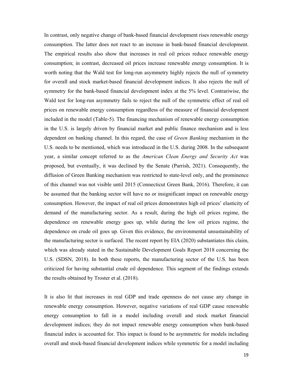In contrast, only negative change of bank-based financial development rises renewable energy consumption. The latter does not react to an increase in bank-based financial development. The empirical results also show that increases in real oil prices reduce renewable energy consumption; in contrast, decreased oil prices increase renewable energy consumption. It is worth noting that the Wald test for long-run asymmetry highly rejects the null of symmetry for overall and stock market-based financial development indices. It also rejects the null of symmetry for the bank-based financial development index at the 5% level. Contrariwise, the Wald test for long-run asymmetry fails to reject the null of the symmetric effect of real oil prices on renewable energy consumption regardless of the measure of financial development included in the model (Table-5). The financing mechanism of renewable energy consumption in the U.S. is largely driven by financial market and public finance mechanism and is less dependent on banking channel. In this regard, the case of *Green Banking* mechanism in the U.S. needs to be mentioned, which was introduced in the U.S. during 2008. In the subsequent year, a similar concept referred to as the *American Clean Energy and Security Act* was proposed, but eventually, it was declined by the Senate (Parrish, 2021). Consequently, the diffusion of Green Banking mechanism was restricted to state-level only, and the prominence of this channel was not visible until 2015 (Connecticut Green Bank, 2016). Therefore, it can be assumed that the banking sector will have no or insignificant impact on renewable energy consumption. However, the impact of real oil prices demonstrates high oil prices' elasticity of demand of the manufacturing sector. As a result, during the high oil prices regime, the dependence on renewable energy goes up, while during the low oil prices regime, the dependence on crude oil goes up. Given this evidence, the environmental unsustainability of the manufacturing sector is surfaced. The recent report by EIA (2020) substantiates this claim, which was already stated in the Sustainable Development Goals Report 2018 concerning the U.S. (SDSN, 2018). In both these reports, the manufacturing sector of the U.S. has been criticized for having substantial crude oil dependence. This segment of the findings extends the results obtained by Troster et al. (2018).

It is also lit that increases in real GDP and trade openness do not cause any change in renewable energy consumption. However, negative variations of real GDP cause renewable energy consumption to fall in a model including overall and stock market financial development indices; they do not impact renewable energy consumption when bank-based financial index is accounted for. This impact is found to be asymmetric for models including overall and stock-based financial development indices while symmetric for a model including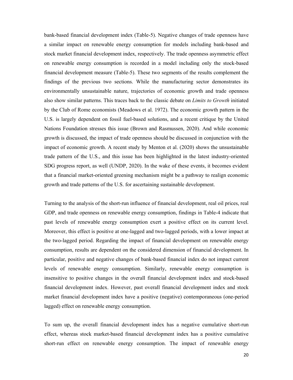bank-based financial development index (Table-5). Negative changes of trade openness have a similar impact on renewable energy consumption for models including bank-based and stock market financial development index, respectively. The trade openness asymmetric effect on renewable energy consumption is recorded in a model including only the stock-based financial development measure (Table-5). These two segments of the results complement the findings of the previous two sections. While the manufacturing sector demonstrates its environmentally unsustainable nature, trajectories of economic growth and trade openness also show similar patterns. This traces back to the classic debate on *Limits to Growth* initiated by the Club of Rome economists (Meadows et al. 1972). The economic growth pattern in the U.S. is largely dependent on fossil fuel-based solutions, and a recent critique by the United Nations Foundation stresses this issue (Brown and Rasmussen, 2020). And while economic growth is discussed, the impact of trade openness should be discussed in conjunction with the impact of economic growth. A recent study by Menton et al. (2020) shows the unsustainable trade pattern of the U.S., and this issue has been highlighted in the latest industry-oriented SDG progress report, as well (UNDP, 2020). In the wake of these events, it becomes evident that a financial market-oriented greening mechanism might be a pathway to realign economic growth and trade patterns of the U.S. for ascertaining sustainable development.

Turning to the analysis of the short-run influence of financial development, real oil prices, real GDP, and trade openness on renewable energy consumption, findings in Table-4 indicate that past levels of renewable energy consumption exert a positive effect on its current level. Moreover, this effect is positive at one-lagged and two-lagged periods, with a lower impact at the two-lagged period. Regarding the impact of financial development on renewable energy consumption, results are dependent on the considered dimension of financial development. In particular, positive and negative changes of bank-based financial index do not impact current levels of renewable energy consumption. Similarly, renewable energy consumption is insensitive to positive changes in the overall financial development index and stock-based financial development index. However, past overall financial development index and stock market financial development index have a positive (negative) contemporaneous (one-period lagged) effect on renewable energy consumption.

To sum up, the overall financial development index has a negative cumulative short-run effect, whereas stock market-based financial development index has a positive cumulative short-run effect on renewable energy consumption. The impact of renewable energy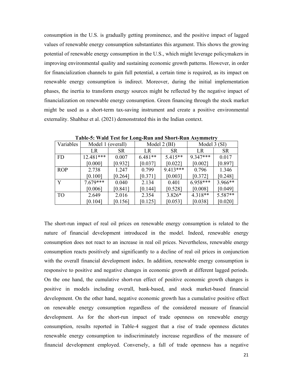consumption in the U.S. is gradually getting prominence, and the positive impact of lagged values of renewable energy consumption substantiates this argument. This shows the growing potential of renewable energy consumption in the U.S., which might leverage policymakers in improving environmental quality and sustaining economic growth patterns. However, in order for financialization channels to gain full potential, a certain time is required, as its impact on renewable energy consumption is indirect. Moreover, during the initial implementation phases, the inertia to transform energy sources might be reflected by the negative impact of financialization on renewable energy consumption. Green financing through the stock market might be used as a short-term tax-saving instrument and create a positive environmental externality. Shahbaz et al. (2021) demonstrated this in the Indian context.

| Variables  | Model 1 (overall) |           | Model 2 (BI) |            | Model 3 (SI) |           |  |
|------------|-------------------|-----------|--------------|------------|--------------|-----------|--|
|            | LR                | <b>SR</b> | LR           | <b>SR</b>  | LR           | <b>SR</b> |  |
| <b>FD</b>  | $12.481***$       | 0.007     | $6.481**$    | $5.415**$  | 9.347***     | 0.017     |  |
|            | [0.000]           | [0.932]   | [0.037]      | [0.022]    | [0.002]      | [0.897]   |  |
| <b>ROP</b> | 2.738             | 1.247     | 0.799        | $9.413***$ | 0.796        | 1.346     |  |
|            | [0.100]           | [0.264]   | [0.371]      | [0.003]    | [0.372]      | [0.248]   |  |
| Y          | $7.679***$        | 0.040     | 2.134        | 0.401      | $6.958***$   | $3.966**$ |  |
|            | [0.006]           | [0.841]   | [0.144]      | [0.528]    | [0.008]      | [0.049]   |  |
| <b>TO</b>  | 2.649             | 2.016     | 2.354        | $3.826*$   | 4.318**      | 5.587**   |  |
|            | [0.104]           | [0.156]   | [0.125]      | [0.053]    | [0.038]      | [0.020]   |  |

**Table-5: Wald Test for Long-Run and Short-Run Asymmetry** 

The short-run impact of real oil prices on renewable energy consumption is related to the nature of financial development introduced in the model. Indeed, renewable energy consumption does not react to an increase in real oil prices. Nevertheless, renewable energy consumption reacts positively and significantly to a decline of real oil prices in conjunction with the overall financial development index. In addition, renewable energy consumption is responsive to positive and negative changes in economic growth at different lagged periods. On the one hand, the cumulative short-run effect of positive economic growth changes is positive in models including overall, bank-based, and stock market-based financial development. On the other hand, negative economic growth has a cumulative positive effect on renewable energy consumption regardless of the considered measure of financial development. As for the short-run impact of trade openness on renewable energy consumption, results reported in Table-4 suggest that a rise of trade openness dictates renewable energy consumption to indiscriminately increase regardless of the measure of financial development employed. Conversely, a fall of trade openness has a negative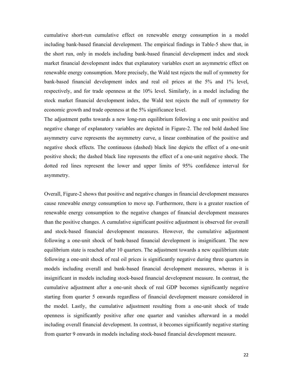cumulative short-run cumulative effect on renewable energy consumption in a model including bank-based financial development. The empirical findings in Table-5 show that, in the short run, only in models including bank-based financial development index and stock market financial development index that explanatory variables exert an asymmetric effect on renewable energy consumption. More precisely, the Wald test rejects the null of symmetry for bank-based financial development index and real oil prices at the 5% and 1% level, respectively, and for trade openness at the 10% level. Similarly, in a model including the stock market financial development index, the Wald test rejects the null of symmetry for economic growth and trade openness at the 5% significance level.

The adjustment paths towards a new long-run equilibrium following a one unit positive and negative change of explanatory variables are depicted in Figure-2. The red bold dashed line asymmetry curve represents the asymmetry curve, a linear combination of the positive and negative shock effects. The continuous (dashed) black line depicts the effect of a one-unit positive shock; the dashed black line represents the effect of a one-unit negative shock. The dotted red lines represent the lower and upper limits of 95% confidence interval for asymmetry.

Overall, Figure-2 shows that positive and negative changes in financial development measures cause renewable energy consumption to move up. Furthermore, there is a greater reaction of renewable energy consumption to the negative changes of financial development measures than the positive changes. A cumulative significant positive adjustment is observed for overall and stock-based financial development measures. However, the cumulative adjustment following a one-unit shock of bank-based financial development is insignificant. The new equilibrium state is reached after 10 quarters. The adjustment towards a new equilibrium state following a one-unit shock of real oil prices is significantly negative during three quarters in models including overall and bank-based financial development measures, whereas it is insignificant in models including stock-based financial development measure. In contrast, the cumulative adjustment after a one-unit shock of real GDP becomes significantly negative starting from quarter 5 onwards regardless of financial development measure considered in the model. Lastly, the cumulative adjustment resulting from a one-unit shock of trade openness is significantly positive after one quarter and vanishes afterward in a model including overall financial development. In contrast, it becomes significantly negative starting from quarter 9 onwards in models including stock-based financial development measure.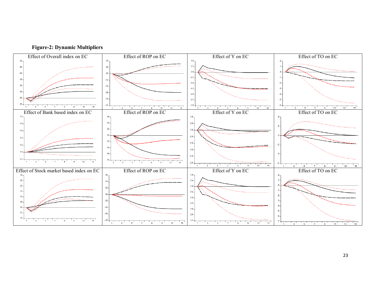

**Figure-2: Dynamic Multipliers**

23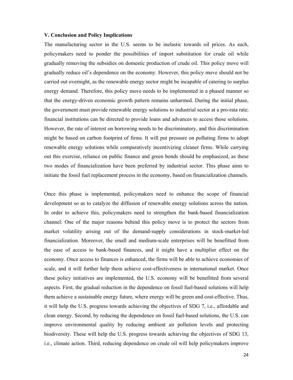#### **V. Conclusion and Policy Implications**

The manufacturing sector in the U.S. seems to be inelastic towards oil prices. As such, policymakers need to ponder the possibilities of import substitution for crude oil while gradually removing the subsidies on domestic production of crude oil. This policy move will gradually reduce oil's dependence on the economy. However, this policy move should not be carried out overnight, as the renewable energy sector might be incapable of catering to surplus energy demand. Therefore, this policy move needs to be implemented in a phased manner so that the energy-driven economic growth pattern remains unharmed. During the initial phase, the government must provide renewable energy solutions to industrial sector at a pro-rata rate; financial institutions can be directed to provide loans and advances to access those solutions. However, the rate of interest on borrowing needs to be discriminatory, and this discrimination might be based on carbon footprint of firms. It will put pressure on polluting firms to adopt renewable energy solutions while comparatively incentivizing cleaner firms. While carrying out this exercise, reliance on public finance and green bonds should be emphasized, as these two modes of financialization have been preferred by industrial sector. This phase aims to initiate the fossil fuel replacement process in the economy, based on financialization channels.

Once this phase is implemented, policymakers need to enhance the scope of financial development so as to catalyze the diffusion of renewable energy solutions across the nation. In order to achieve this, policymakers need to strengthen the bank-based financialization channel. One of the major reasons behind this policy move is to protect the sectors from market volatility arising out of the demand-supply considerations in stock-market-led financialization. Moreover, the small and medium-scale enterprises will be benefitted from the ease of access to bank-based finances, and it might have a multiplier effect on the economy. Once access to finances is enhanced, the firms will be able to achieve economies of scale, and it will further help them achieve cost-effectiveness in international market. Once these policy initiatives are implemented, the U.S. economy will be benefitted from several aspects. First, the gradual reduction in the dependence on fossil fuel-based solutions will help them achieve a sustainable energy future, where energy will be green and cost-effective. Thus, it will help the U.S. progress towards achieving the objectives of SDG 7, i.e., affordable and clean energy. Second, by reducing the dependence on fossil fuel-based solutions, the U.S. can improve environmental quality by reducing ambient air pollution levels and protecting biodiversity. These will help the U.S. progress towards achieving the objectives of SDG 13, i.e., climate action. Third, reducing dependence on crude oil will help policymakers improve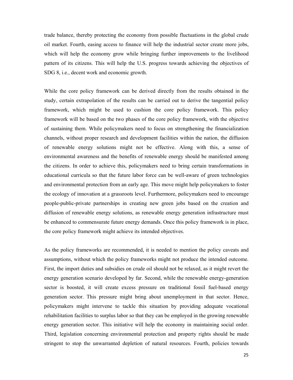trade balance, thereby protecting the economy from possible fluctuations in the global crude oil market. Fourth, easing access to finance will help the industrial sector create more jobs, which will help the economy grow while bringing further improvements to the livelihood pattern of its citizens. This will help the U.S. progress towards achieving the objectives of SDG 8, i.e., decent work and economic growth.

While the core policy framework can be derived directly from the results obtained in the study, certain extrapolation of the results can be carried out to derive the tangential policy framework, which might be used to cushion the core policy framework. This policy framework will be based on the two phases of the core policy framework, with the objective of sustaining them. While policymakers need to focus on strengthening the financialization channels, without proper research and development facilities within the nation, the diffusion of renewable energy solutions might not be effective. Along with this, a sense of environmental awareness and the benefits of renewable energy should be manifested among the citizens. In order to achieve this, policymakers need to bring certain transformations in educational curricula so that the future labor force can be well-aware of green technologies and environmental protection from an early age. This move might help policymakers to foster the ecology of innovation at a grassroots level. Furthermore, policymakers need to encourage people-public-private partnerships in creating new green jobs based on the creation and diffusion of renewable energy solutions, as renewable energy generation infrastructure must be enhanced to commensurate future energy demands. Once this policy framework is in place, the core policy framework might achieve its intended objectives.

As the policy frameworks are recommended, it is needed to mention the policy caveats and assumptions, without which the policy frameworks might not produce the intended outcome. First, the import duties and subsidies on crude oil should not be relaxed, as it might revert the energy generation scenario developed by far. Second, while the renewable energy-generation sector is boosted, it will create excess pressure on traditional fossil fuel-based energy generation sector. This pressure might bring about unemployment in that sector. Hence, policymakers might intervene to tackle this situation by providing adequate vocational rehabilitation facilities to surplus labor so that they can be employed in the growing renewable energy generation sector. This initiative will help the economy in maintaining social order. Third, legislation concerning environmental protection and property rights should be made stringent to stop the unwarranted depletion of natural resources. Fourth, policies towards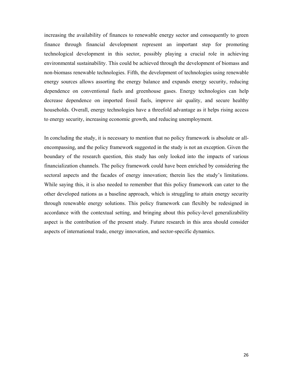increasing the availability of finances to renewable energy sector and consequently to green finance through financial development represent an important step for promoting technological development in this sector, possibly playing a crucial role in achieving environmental sustainability. This could be achieved through the development of biomass and non-biomass renewable technologies. Fifth, the development of technologies using renewable energy sources allows assorting the energy balance and expands energy security, reducing dependence on conventional fuels and greenhouse gases. Energy technologies can help decrease dependence on imported fossil fuels, improve air quality, and secure healthy households. Overall, energy technologies have a threefold advantage as it helps rising access to energy security, increasing economic growth, and reducing unemployment.

In concluding the study, it is necessary to mention that no policy framework is absolute or allencompassing, and the policy framework suggested in the study is not an exception. Given the boundary of the research question, this study has only looked into the impacts of various financialization channels. The policy framework could have been enriched by considering the sectoral aspects and the facades of energy innovation; therein lies the study's limitations. While saying this, it is also needed to remember that this policy framework can cater to the other developed nations as a baseline approach, which is struggling to attain energy security through renewable energy solutions. This policy framework can flexibly be redesigned in accordance with the contextual setting, and bringing about this policy-level generalizability aspect is the contribution of the present study. Future research in this area should consider aspects of international trade, energy innovation, and sector-specific dynamics.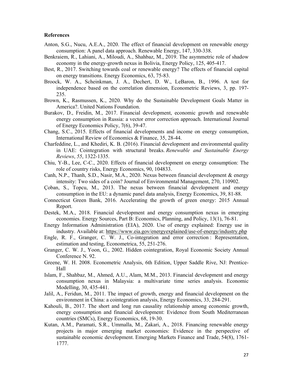#### **References**

- Anton, S.G., Nucu, A.E.A., 2020. The effect of financial development on renewable energy consumption: A panel data approach. Renewable Energy, 147, 330-338.
- Benkraiem, R., Lahiani, A., Miloudi, A., Shahbaz, M., 2019. The asymmetric role of shadow economy in the energy-growth nexus in Bolivia, Energy Policy, 125, 405-417.
- Best, R., 2017. Switching towards coal or renewable energy? The effects of financial capital on energy transitions. Energy Economics, 63, 75-83.
- Broock, W. A., Scheinkman, J. A., Dechert, D. W., LeBaron, B., 1996. A test for independence based on the correlation dimension, Econometric Reviews, 3, pp. 197- 235.
- Brown, K., Rasmussen, K., 2020. Why do the Sustainable Development Goals Matter in America?. United Nations Foundation.
- Burakov, D., Freidin, M., 2017. Financial development, economic growth and renewable energy consumption in Russia: a vector error correction approach. International Journal of Energy Economics Policy, 7(6), 39-47.
- Chang, S.C., 2015. Effects of financial developments and income on energy consumption, International Review of Economics & Finance, 35, 28-44.
- Charfeddine, L., and Khediri, K. B. (2016). Financial development and environmental quality in UAE: Cointegration with structural breaks. *Renewable and Sustainable Energy Reviews*, *55*, 1322-1335.
- Chiu, Y-B., Lee, C-C., 2020. Effects of financial development on energy consumption: The role of country risks, Energy Economics, 90, 104833.
- Canh, N.P., Thanh, S.D., Nasir, M.A., 2020. Nexus between financial development & energy intensity: Two sides of a coin? Journal of Environmental Management, 270, 110902.
- Çoban, S., Topcu, M., 2013. The nexus between financial development and energy consumption in the EU: a dynamic panel data analysis, Energy Economics, 39, 81-88.
- Connecticut Green Bank, 2016. Accelerating the growth of green energy: 2015 Annual Report.
- Destek, M.A., 2018. Financial development and energy consumption nexus in emerging economies. Energy Sources, Part B: Economics, Planning, and Policy, 13(1), 76-81.
- Energy Information Administration (EIA), 2020. Use of energy explained: Energy use in industry. Available at: https://www.eia.gov/energyexplained/use-of-energy/industry.php
- Engle, R. F., Granger, C. W. J., Co-integration and error correction : Representation, estimation and testing, Econometrica, 55, 251-276.
- Granger, C. W. J., Yoon, G., 2002. Hidden cointegration, Royal Economic Society Annual Conference N. 92.
- Greene, W. H. 2008. Econometric Analysis, 6th Edition, Upper Saddle Rive, NJ: Prentice-Hall
- Islam, F., Shahbaz, M., Ahmed, A.U., Alam, M.M., 2013. Financial development and energy consumption nexus in Malaysia: a multivariate time series analysis. Economic Modelling, 30, 435-441.
- Jalil, A., Feridun, M., 2011. The impact of growth, energy and financial development on the environment in China: a cointegration analysis, Energy Economics, 33, 284-291.
- Kahouli, B., 2017. The short and long run causality relationship among economic growth, energy consumption and financial development: Evidence from South Mediterranean countries (SMCs), Energy Economics, 68, 19-30.
- Kutan, A.M., Paramati, S.R., Ummalla, M., Zakari, A., 2018. Financing renewable energy projects in major emerging market economies: Evidence in the perspective of sustainable economic development. Emerging Markets Finance and Trade, 54(8), 1761- 1777.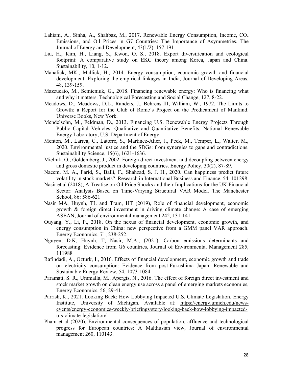- Lahiani, A., Sinha, A., Shahbaz, M., 2017. Renewable Energy Consumption, Income, CO₂ Emissions, and Oil Prices in G7 Countries: The Importance of Asymmetries. The Journal of Energy and Development, 43(1/2), 157-191.
- Liu, H., Kim, H., Liang, S., Kwon, O. S., 2018. Export diversification and ecological footprint: A comparative study on EKC theory among Korea, Japan and China. Sustainability, 10, 1-12.
- Mahalick, MK., Mallick, H., 2014. Energy consumption, economic growth and financial development: Exploring the empirical linkages in India, Journal of Developing Areas, 48, 139-159.
- Mazzucato, M., Semieniuk, G., 2018. Financing renewable energy: Who is financing what and why it matters. Technological Forecasting and Social Change, 127, 8-22.
- Meadows, D., Meadows, D.L., Randers, J., Behrens-III, William, W., 1972. The Limits to Growth: a Report for the Club of Rome's Project on the Predicament of Mankind. Universe Books, New York.
- Mendelsohn, M., Feldman, D., 2013. Financing U.S. Renewable Energy Projects Through Public Capital Vehicles: Qualitative and Quantitative Benefits. National Renewable Energy Laboratory, U.S. Department of Energy.
- Menton, M., Larrea, C., Latorre, S., Martinez-Alier, J., Peck, M., Temper, L., Walter, M., 2020. Environmental justice and the SDGs: from synergies to gaps and contradictions. Sustainability Science, 15(6), 1621-1636.
- Mielnik, O., Goldemberg, J., 2002. Foreign direct investment and decoupling between energy and gross domestic product in developing countries. Energy Policy, 30(2), 87-89.
- Naeem, M. A., Farid, S., Balli, F., Shahzad, S. J. H., 2020. Can happiness predict future volatility in stock markets?. Research in International Business and Finance, 54, 101298.
- Nasir et al (2018), A Treatise on Oil Price Shocks and their Implications for the UK Financial Sector: Analysis Based on Time‐Varying Structural VAR Model. The Manchester School, 86: 586-621
- Nasir MA, Huynh, TL and Tram, HT (2019), Role of financial development, economic growth & foreign direct investment in driving climate change: A case of emerging ASEAN, Journal of environmental management 242, 131-141
- Ouyang, Y., Li, P., 2018. On the nexus of financial development, economic growth, and energy consumption in China: new perspective from a GMM panel VAR approach. Energy Economics, 71, 238-252.
- Nguyen, D.K, Huynh, T, Nasir, M.A., (2021), Carbon emissions determinants and forecasting: Evidence from G6 countries, Journal of Environmental Management 285, 111988
- Rafindadi, A., Ozturk, I., 2016. Effects of financial development, economic growth and trade on electricity consumption: Evidence from post-Fukushima Japan. Renewable and Sustainable Energy Review, 54, 1073-1084.
- Paramati, S. R., Ummalla, M., Apergis, N., 2016. The effect of foreign direct investment and stock market growth on clean energy use across a panel of emerging markets economies, Energy Economics, 56, 29-41.
- Parrish, K., 2021. Looking Back: How Lobbying Impacted U.S. Climate Legislation. Energy Institute, University of Michigan. Available at: https://energy.umich.edu/newsevents/energy-economics-weekly-briefings/story/looking-back-how-lobbying-impactedu-s-climate-legislation/
- Pham et al (2020), Environmental consequences of population, affluence and technological progress for European countries: A Malthusian view, Journal of environmental management 260, 110143.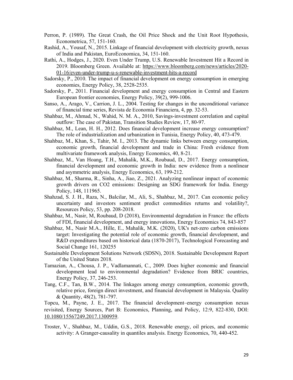- Perron, P. (1989). The Great Crash, the Oil Price Shock and the Unit Root Hypothesis, Econometrica, 57, 151-160.
- Rashid, A., Yousaf, N., 2015. Linkage of financial development with electricity growth, nexus of India and Pakistan, EuroEconomica, 34, 151-160.
- Rathi, A., Hodges, J., 2020. Even Under Trump, U.S. Renewable Investment Hit a Record in 2019. Bloomberg Green. Available at: https://www.bloomberg.com/news/articles/2020- 01-16/even-under-trump-u-s-renewable-investment-hits-a-record
- Sadorsky, P., 2010. The impact of financial development on energy consumption in emerging economies, Energy Policy, 38, 2528-2535.
- Sadorsky, P., 2011. Financial development and energy consumption in Central and Eastern European frontier economies, Energy Policy, 39(2), 999-1006.
- Sanso, A., Arago, V., Carrion, J. L., 2004. Testing for changes in the unconditional variance of financial time series, Revista de Economia Financiera, 4, pp. 32-53.
- Shahbaz, M., Ahmad, N., Wahid, N. M. A., 2010, Savings-investment correlation and capital outflow: The case of Pakistan, Transition Studies Review, 17, 80-97.
- Shahbaz, M., Lean, H. H., 2012. Does financial development increase energy consumption? The role of industrialization and urbanization in Tunisia, Energy Policy, 40, 473-479.
- Shahbaz, M., Khan, S., Tahir, M. I., 2013. The dynamic links between energy consumption, economic growth, financial development and trade in China: Fresh evidence from multivariate framework analysis, Energy Economics, 40, 8-21.
- Shahbaz, M., Van Hoang, T.H., Mahalik, M.K., Roubaud, D., 2017. Energy consumption, financial development and economic growth in India: new evidence from a nonlinear and asymmetric analysis, Energy Economics, 63, 199-212.
- Shahbaz, M., Sharma, R., Sinha, A., Jiao, Z., 2021. Analyzing nonlinear impact of economic growth drivers on CO2 emissions: Designing an SDG framework for India. Energy Policy, 148, 111965.
- Shahzad, S. J. H., Raza, N., Balcilar, M., Ali, S., Shahbaz, M., 2017. Can economic policy uncertainty and investors sentiment predict commodities returns and volatility?, Resources Policy, 53, pp. 208-2018.
- Shahbaz, M., Nasir, M, Roubaud, D (2018), Environmental degradation in France: the effects of FDI, financial development, and energy innovations, Energy Economics 74, 843-857
- Shahbaz, M., Nasir M.A., Hille, E., Mahalik, M.K. (2020), UK's net-zero carbon emissions target: Investigating the potential role of economic growth, financial development, and R&D expenditures based on historical data (1870-2017), Technological Forecasting and Social Change 161, 120255
- Sustainable Development Solutions Network (SDSN), 2018. Sustainable Development Report of the United States 2018.
- Tamazian, A., Chousa, J. P., Vadlamannati, C., 2009. Does higher economic and financial development lead to environmental degradation? Evidence from BRIC countries, Energy Policy, 37, 246-253.
- Tang, C.F., Tan, B.W., 2014. The linkages among energy consumption, economic growth, relative price, foreign direct investment, and financial development in Malaysia. Quality & Quantity, 48(2), 781-797.

Topcu, M., Payne, J. E., 2017. The financial development–energy consumption nexus revisited, Energy Sources, Part B: Economics, Planning, and Policy, 12:9, 822-830, DOI: 10.1080/15567249.2017.1300959.

Troster, V., Shahbaz, M., Uddin, G.S., 2018. Renewable energy, oil prices, and economic activity: A Granger-causality in quantiles analysis. Energy Economics, 70, 440-452.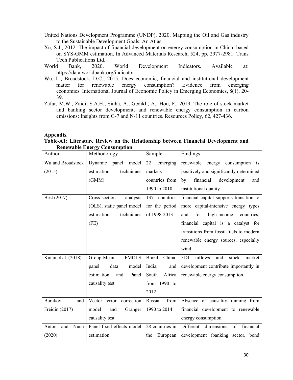- United Nations Development Programme (UNDP), 2020. Mapping the Oil and Gas industry to the Sustainable Development Goals: An Atlas.
- Xu, S.J., 2012. The impact of financial development on energy consumption in China: based on SYS-GMM estimation. In Advanced Materials Research, 524, pp. 2977-2981. Trans Tech Publications Ltd.
- World Bank, 2020. World Development Indicators. Available at: https://data.worldbank.org/indicator
- Wu, L., Broadstock, D.C., 2015. Does economic, financial and institutional development matter for renewable energy consumption? Evidence from emerging economies. International Journal of Economic Policy in Emerging Economies, 8(1), 20- 39.
- Zafar, M.W., Zaidi, S.A.H., Sinha, A., Gedikli, A., Hou, F., 2019. The role of stock market and banking sector development, and renewable energy consumption in carbon emissions: Insights from G-7 and N-11 countries. Resources Policy, 62, 427-436.

# **Appendix**

# **Table-A1: Literature Review on the Relationship between Financial Development and Renewable Energy Consumption**

| Author                | Methodology                   | Sample           | Findings                                        |
|-----------------------|-------------------------------|------------------|-------------------------------------------------|
| Wu and Broadstock     | Dynamic<br>panel<br>model     | emerging<br>22   | consumption is<br>renewable<br>energy           |
| (2015)                | techniques<br>estimation      | markets          | positively and significantly determined         |
|                       | (GMM)                         | countries from   | financial<br>development<br>by<br>and           |
|                       |                               | 1990 to 2010     | institutional quality                           |
| Best (2017)           | Cross-section<br>analysis     | 137<br>countries | financial capital supports transition to        |
|                       | (OLS), static panel model     | for the period   | more capital-intensive energy types             |
|                       | estimation<br>techniques      | of 1998-2013     | for<br>high-income<br>and<br>countries,         |
|                       | (FE)                          |                  | financial capital is a catalyst for             |
|                       |                               |                  | transitions from fossil fuels to modern         |
|                       |                               |                  | renewable energy sources, especially            |
|                       |                               |                  | wind                                            |
| Kutan et al. (2018)   | <b>FMOLS</b><br>Group-Mean    | Brazil, China,   | <b>FDI</b><br>inflows<br>stock<br>and<br>market |
|                       | panel<br>data<br>model        | India,<br>and    | development contribute importantly in           |
|                       | estimation<br>Panel<br>and    | Africa<br>South  | renewable energy consumption                    |
|                       | causality test                | from 1990 to     |                                                 |
|                       |                               | 2012             |                                                 |
| <b>Burakov</b><br>and | correction<br>Vector<br>error | Russia<br>from   | Absence of causality running from               |
| Freidin (2017)        | model<br>and<br>Granger       | 1990 to 2014     | financial development to renewable              |
|                       | causality test                |                  | energy consumption                              |
| Nucu<br>Anton<br>and  | Panel fixed effects model     | 28 countries in  | Different<br>dimensions<br>financial<br>of      |
| (2020)                | estimation                    | the<br>European  | development (banking sector, bond               |